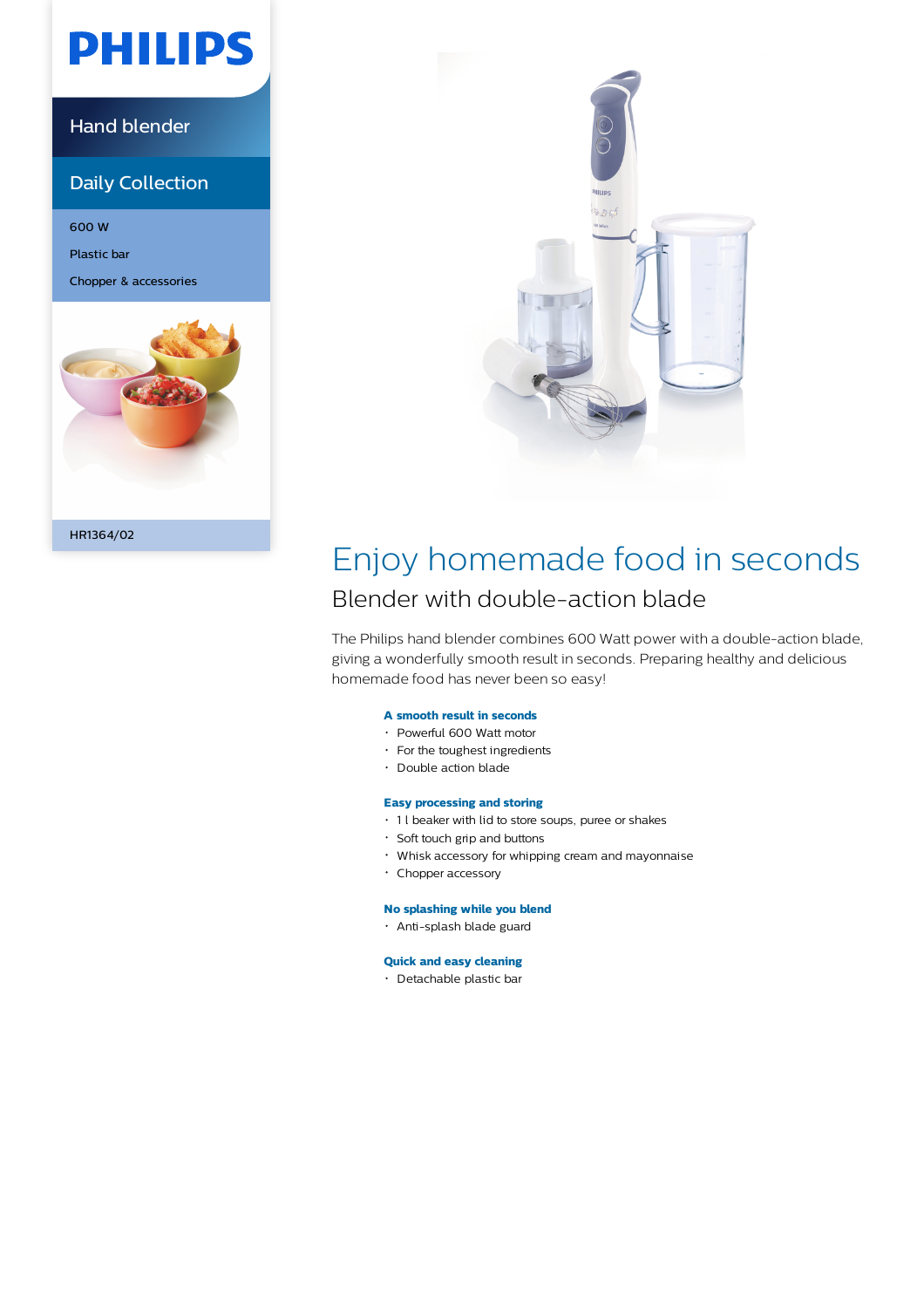# **PHILIPS**

### Hand blender

### Daily Collection

600 W

Plastic bar

Chopper & accessories



HR1364/02



## Enjoy homemade food in seconds Blender with double-action blade

The Philips hand blender combines 600 Watt power with a double-action blade, giving a wonderfully smooth result in seconds. Preparing healthy and delicious homemade food has never been so easy!

#### **A smooth result in seconds**

- Powerful 600 Watt motor
- For the toughest ingredients
- Double action blade

### **Easy processing and storing**

- 1 l beaker with lid to store soups, puree or shakes
- Soft touch grip and buttons
- Whisk accessory for whipping cream and mayonnaise
- Chopper accessory

#### **No splashing while you blend**

Anti-splash blade guard

#### **Quick and easy cleaning**

Detachable plastic bar